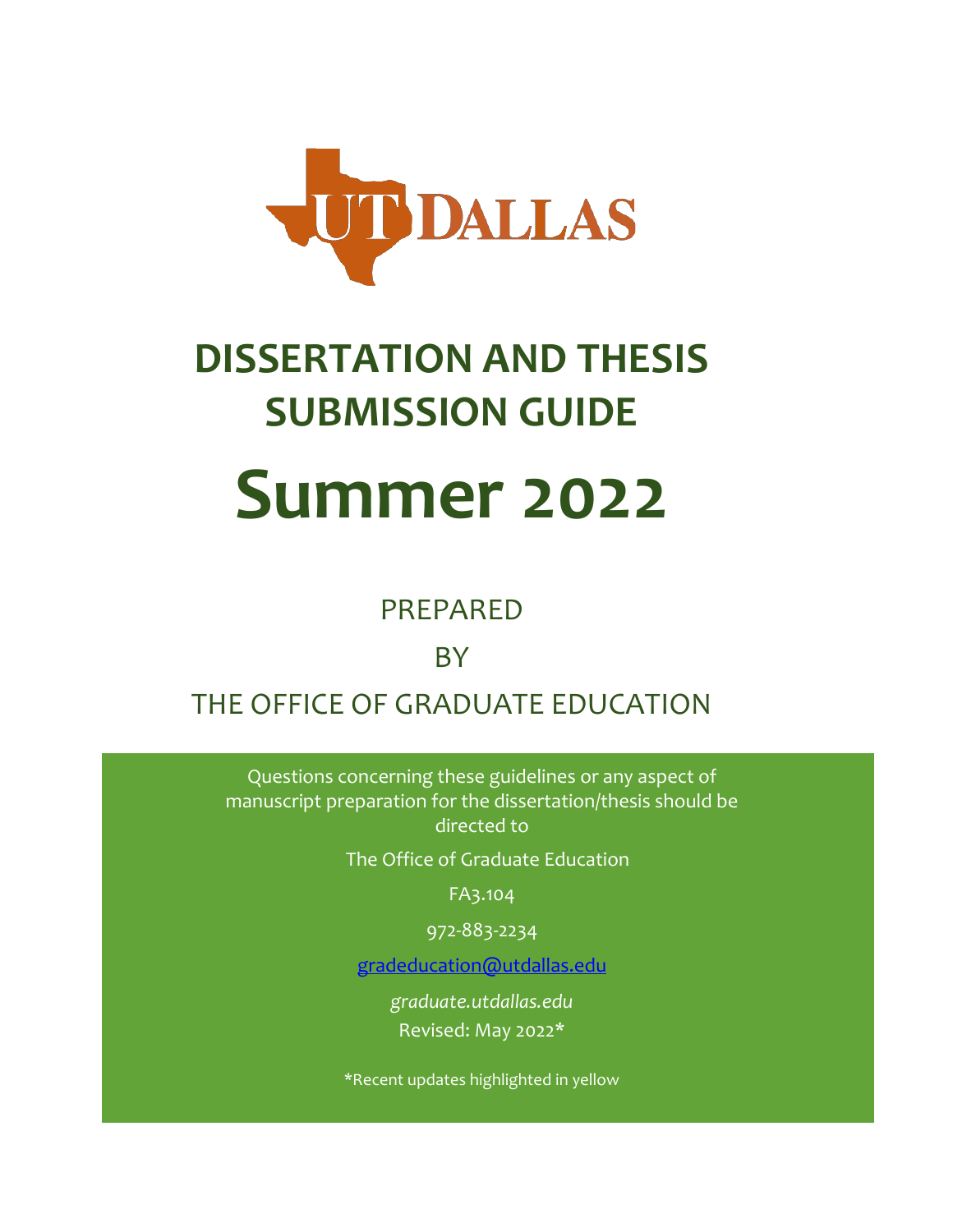

# **DISSERTATION AND THESIS SUBMISSION GUIDE Summer 2022**

## PREPARED

# **BY**

# THE OFFICE OF GRADUATE EDUCATION

Questions concerning these guidelines or any aspect of manuscript preparation for the dissertation/thesis should be directed to

The Office of Graduate Education

FA3.104

972-883-2234

[gradeducation@utdallas.edu](mailto:gradeducation@utdallas.edu)

*graduate[.utdallas.edu](http://www.utdallas.edu/ogs/)* Revised: May 2022\*

\*Recent updates highlighted in yellow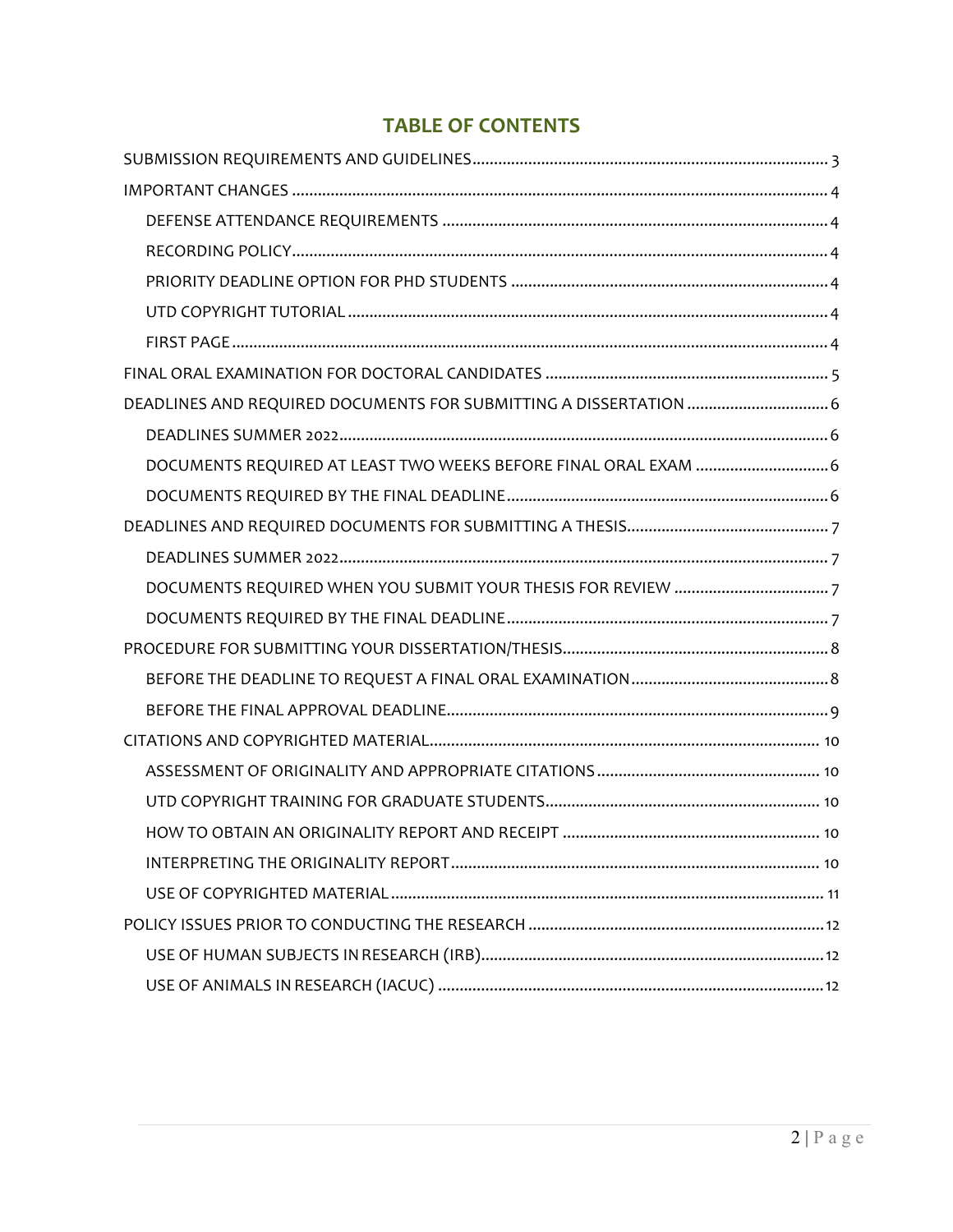## **TABLE OF CONTENTS**

| DEADLINES AND REQUIRED DOCUMENTS FOR SUBMITTING A DISSERTATION  6 |
|-------------------------------------------------------------------|
|                                                                   |
| DOCUMENTS REQUIRED AT LEAST TWO WEEKS BEFORE FINAL ORAL EXAM  6   |
|                                                                   |
|                                                                   |
|                                                                   |
|                                                                   |
|                                                                   |
|                                                                   |
|                                                                   |
|                                                                   |
|                                                                   |
|                                                                   |
|                                                                   |
|                                                                   |
|                                                                   |
|                                                                   |
|                                                                   |
|                                                                   |
|                                                                   |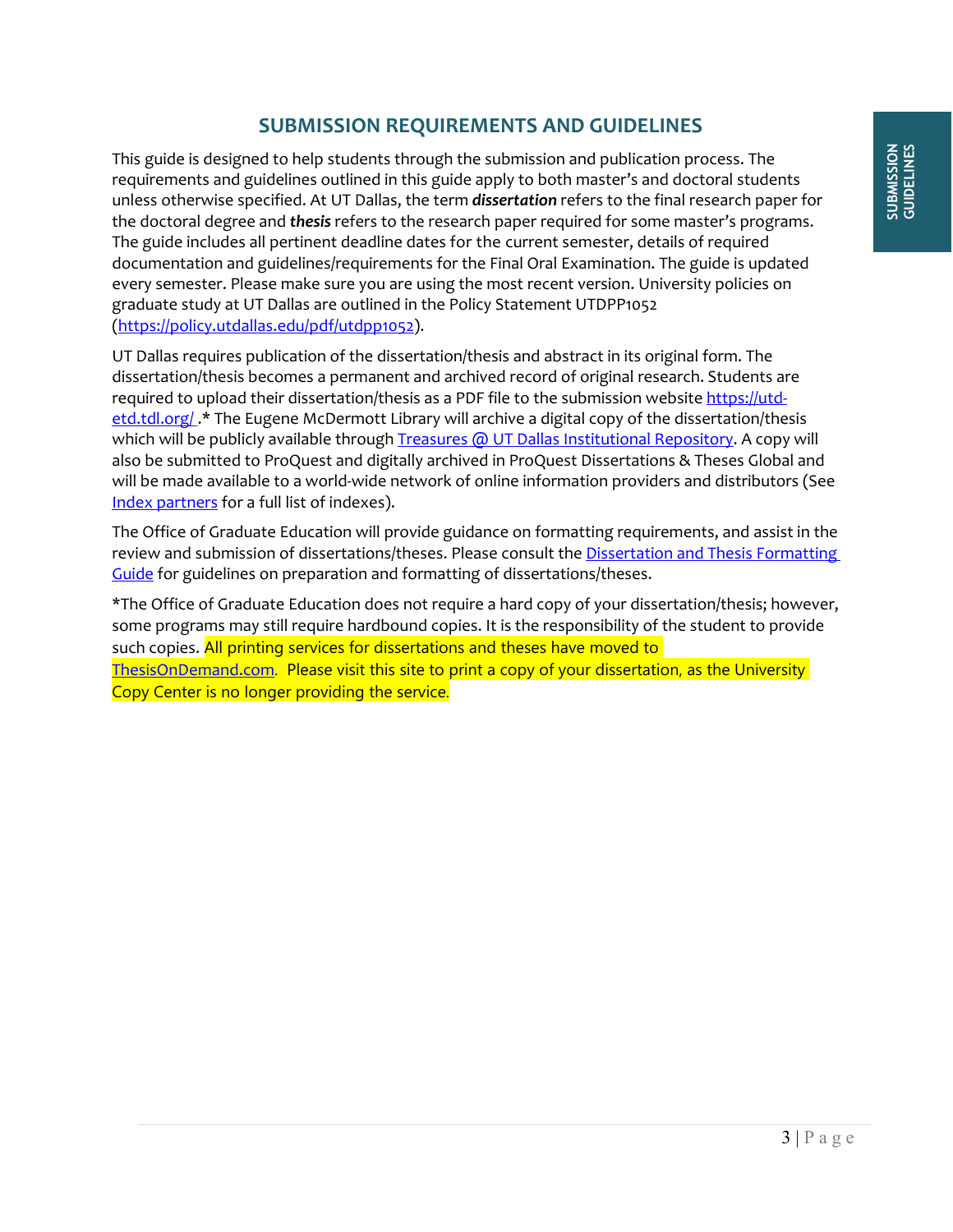## **SUBMISSION REQUIREMENTS AND GUIDELINES**

<span id="page-2-0"></span>This guide is designed to help students through the submission and publication process. The requirements and guidelines outlined in this guide apply to both master's and doctoral students unless otherwise specified. At UT Dallas, the term *dissertation* refers to the final research paper for the doctoral degree and *thesis* refers to the research paper required for some master's programs. The guide includes all pertinent deadline dates for the current semester, details of required documentation and guidelines/requirements for the Final Oral Examination. The guide is updated every semester. Please make sure you are using the most recent version. University policies on graduate study at UT Dallas are outlined in the Policy Statement UTDPP1052 [\(https://policy.utdallas.edu/pdf/utdpp1052\)](https://policy.utdallas.edu/pdf/utdpp1052).

UT Dallas requires publication of the dissertation/thesis and abstract in its original form. The dissertation/thesis becomes a permanent and archived record of original research. Students are required to upload their dissertation/thesis as a PDF file to the submission website [https://utd](https://utd-etd.tdl.org/)[etd.tdl.org/](https://utd-etd.tdl.org/) .\* The Eugene McDermott Library will archive a digital copy of the dissertation/thesis which will be publicly available throug[h Treasures @ UT Dallas Institutional Repository.](http://libtreasures.utdallas.edu/xmlui/) A copy will also be submitted to ProQuest and digitally archived in ProQuest Dissertations & Theses Global and will be made available to a world-wide network of online information providers and distributors (See [Index partners](http://www.proquest.com/documents/Third-Party-Indexing-Partners-Updated-April-2015.html) for a full list of indexes).

The Office of Graduate Education will provide guidance on formatting requirements, and assist in the review and submission of dissertations/theses. Please consult th[e Dissertation and Thesis Formatting](https://graduate.utdallas.edu/docs/thesisdissertationguide_formatting.pdf)  [Guide](https://graduate.utdallas.edu/docs/thesisdissertationguide_formatting.pdf) for guidelines on preparation and formatting of dissertations/theses.

\*The Office of Graduate Education does not require a hard copy of your dissertation/thesis; however, some programs may still require hardbound copies. It is the responsibility of the student to provide such copies. All printing services for dissertations and theses have moved to [ThesisOnDemand.com](https://www.thesisondemand.com/wp-signup.php?new=thesisondemand.com). Please visit this site to print a copy of your dissertation, as the University Copy Center is no longer providing the service.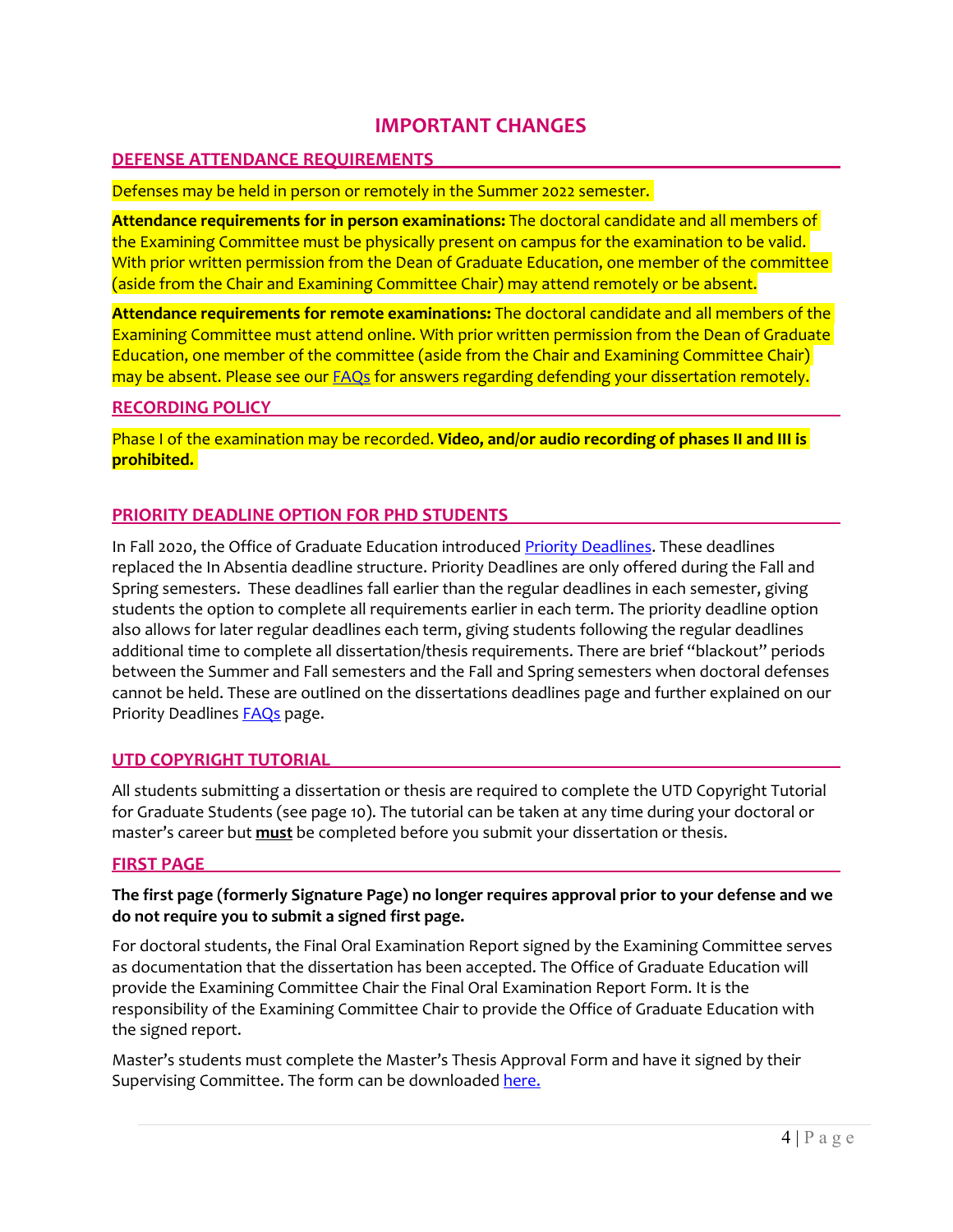## **IMPORTANT CHANGES**

#### <span id="page-3-1"></span><span id="page-3-0"></span>**DEFENSE ATTENDANCE REQUIREMENTS**

#### Defenses may be held in person or remotely in the Summer 2022 semester.

**Attendance requirements for in person examinations:** The doctoral candidate and all members of the Examining Committee must be physically present on campus for the examination to be valid. With prior written permission from the Dean of Graduate Education, one member of the committee (aside from the Chair and Examining Committee Chair) may attend remotely or be absent.

**Attendance requirements for remote examinations:** The doctoral candidate and all members of the Examining Committee must attend online. With prior written permission from the Dean of Graduate Education, one member of the committee (aside from the Chair and Examining Committee Chair) may be absent. Please see our **FAQs** for answers regarding defending your dissertation remotely.

#### <span id="page-3-2"></span>**RECORDING POLICY**

Phase I of the examination may be recorded. **Video, and/or audio recording of phases II and III is prohibited.**

#### <span id="page-3-3"></span>**PRIORITY DEADLINE OPTION FOR PHD STUDENTS**

In Fall 2020, the Office of Graduate Education introduced [Priority Deadlines.](https://graduate.utdallas.edu/current_students/deadlines/) These deadlines replaced the In Absentia deadline structure. Priority Deadlines are only offered during the Fall and Spring semesters. These deadlines fall earlier than the regular deadlines in each semester, giving students the option to complete all requirements earlier in each term. The priority deadline option also allows for later regular deadlines each term, giving students following the regular deadlines additional time to complete all dissertation/thesis requirements. There are brief "blackout" periods between the Summer and Fall semesters and the Fall and Spring semesters when doctoral defenses cannot be held. These are outlined on the dissertations deadlines page and further explained on our Priority Deadlines **FAQs** page.

#### <span id="page-3-4"></span>**UTD COPYRIGHT TUTORIAL**

All students submitting a dissertation or thesis are required to complete the UTD Copyright Tutorial for Graduate Students (see page [10\)](#page-9-2). The tutorial can be taken at any time during your doctoral or master's career but **must** be completed before you submit your dissertation or thesis.

#### <span id="page-3-5"></span>**FIRST PAGE**

#### **The first page (formerly Signature Page) no longer requires approval prior to your defense and we do not require you to submit a signed first page.**

For doctoral students, the Final Oral Examination Report signed by the Examining Committee serves as documentation that the dissertation has been accepted. The Office of Graduate Education will provide the Examining Committee Chair the Final Oral Examination Report Form. It is the responsibility of the Examining Committee Chair to provide the Office of Graduate Education with the signed report.

Master's students must complete the Master's Thesis Approval Form and have it signed by their Supervising Committee. The form can be downloade[d here.](https://graduate.utdallas.edu/docs/Masters%20Thesis%20Approval%20Form.pdf)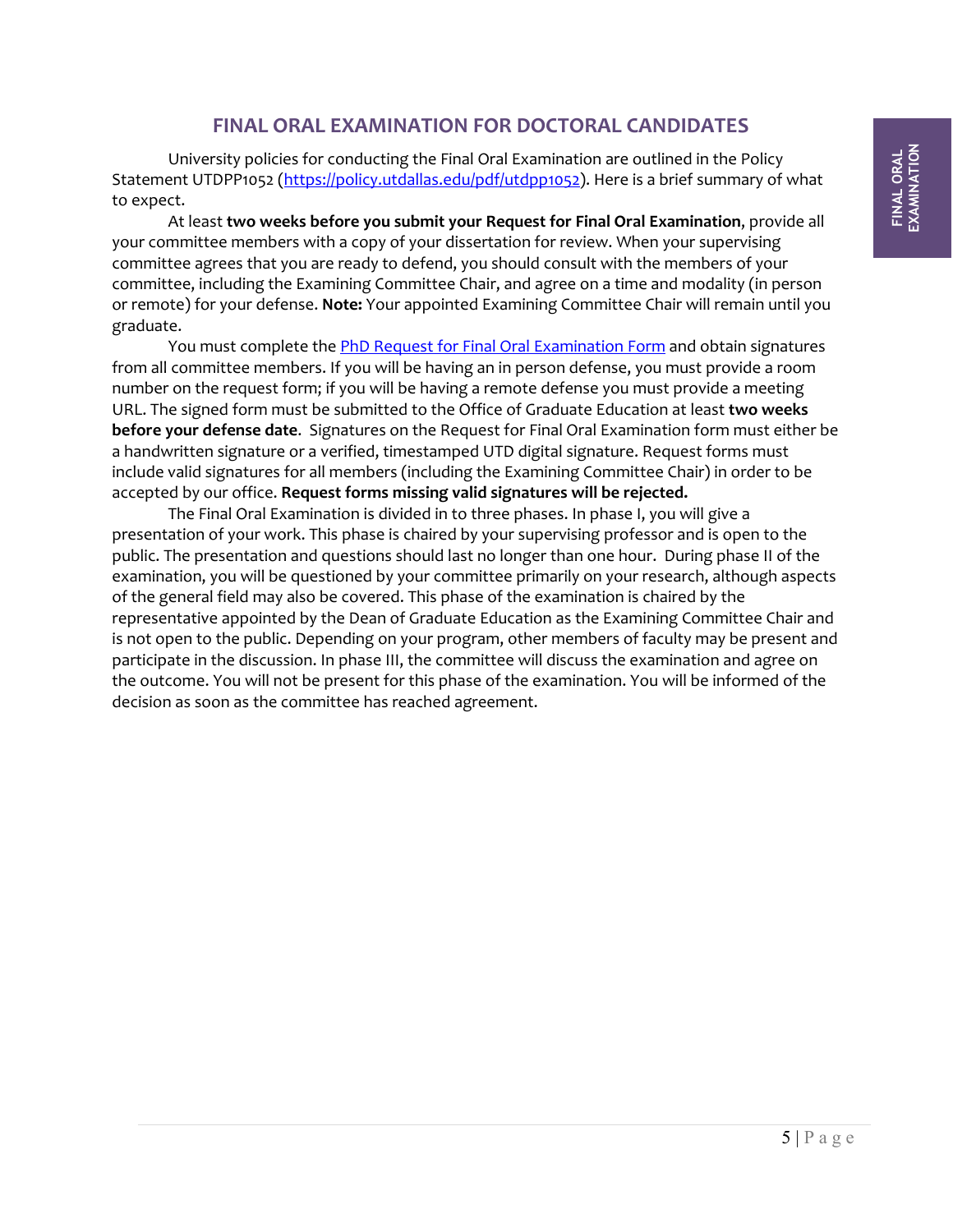## **FINAL ORAL EXAMINATION FOR DOCTORAL CANDIDATES**

<span id="page-4-0"></span>University policies for conducting the Final Oral Examination are outlined in the Policy Statement UTDPP1052 [\(https://policy.utdallas.edu/pdf/utdpp1052\)](https://policy.utdallas.edu/pdf/utdpp1052). Here is a brief summary of what to expect.

At least **two weeks before you submit your Request for Final Oral Examination**, provide all your committee members with a copy of your dissertation for review. When your supervising committee agrees that you are ready to defend, you should consult with the members of your committee, including the Examining Committee Chair, and agree on a time and modality (in person or remote) for your defense. **Note:** Your appointed Examining Committee Chair will remain until you graduate.

You must complete th[e PhD Request for Final Oral Examination Form](https://graduate.utdallas.edu/current_students/forms/) and obtain signatures from all committee members. If you will be having an in person defense, you must provide a room number on the request form; if you will be having a remote defense you must provide a meeting URL. The signed form must be submitted to the Office of Graduate Education at least **two weeks before your defense date**. Signatures on the Request for Final Oral Examination form must either be a handwritten signature or a verified, timestamped UTD digital signature. Request forms must include valid signatures for all members (including the Examining Committee Chair) in order to be accepted by our office. **Request forms missing valid signatures will be rejected.**

The Final Oral Examination is divided in to three phases. In phase I, you will give a presentation of your work. This phase is chaired by your supervising professor and is open to the public. The presentation and questions should last no longer than one hour. During phase II of the examination, you will be questioned by your committee primarily on your research, although aspects of the general field may also be covered. This phase of the examination is chaired by the representative appointed by the Dean of Graduate Education as the Examining Committee Chair and is not open to the public. Depending on your program, other members of faculty may be present and participate in the discussion. In phase III, the committee will discuss the examination and agree on the outcome. You will not be present for this phase of the examination. You will be informed of the decision as soon as the committee has reached agreement.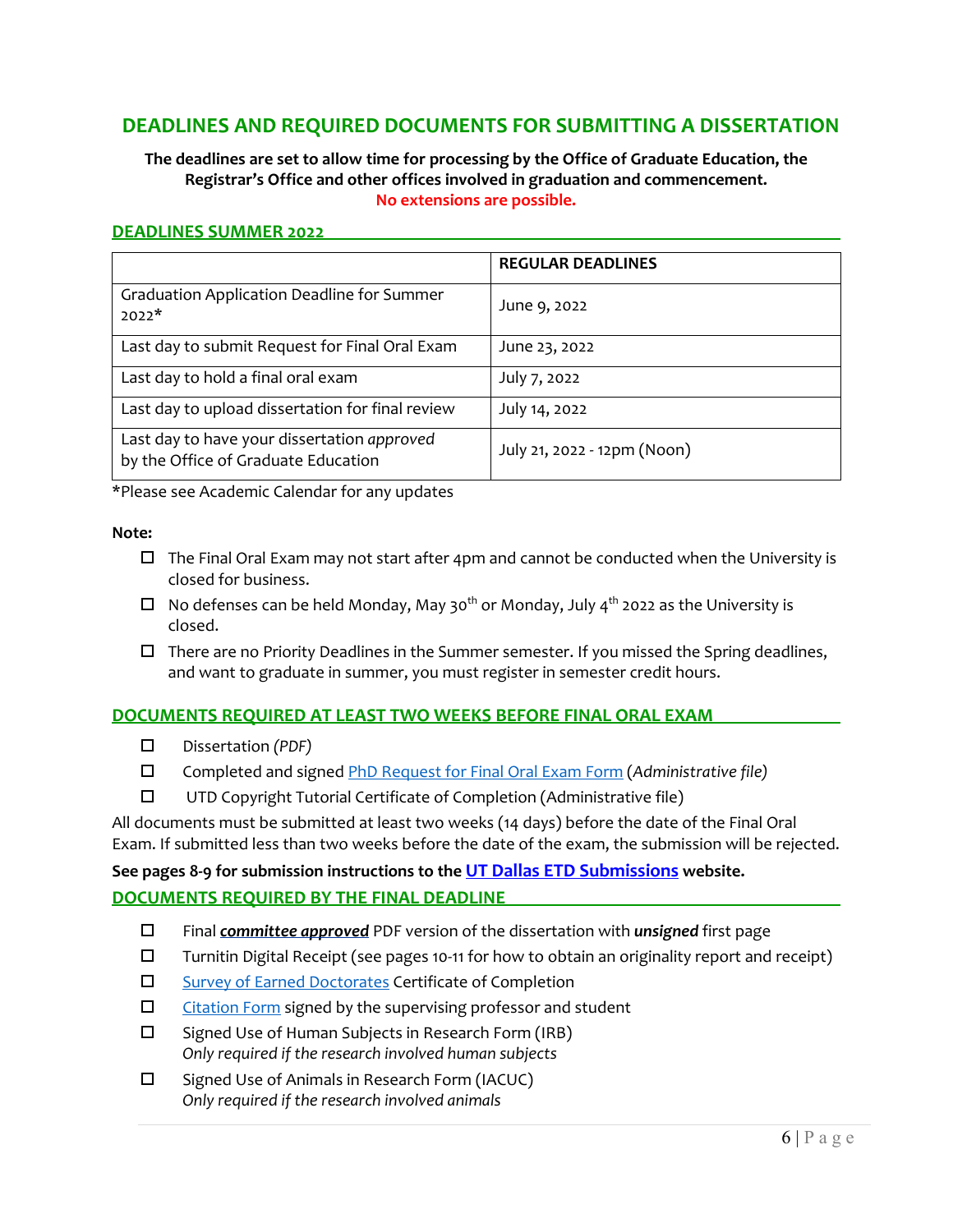## <span id="page-5-0"></span>**DEADLINES AND REQUIRED DOCUMENTS FOR SUBMITTING A DISSERTATION**

#### **The deadlines are set to allow time for processing by the Office of Graduate Education, the Registrar's Office and other offices involved in graduation and commencement. No extensions are possible.**

#### <span id="page-5-1"></span>**DEADLINES SUMMER 2022**

|                                                                                    | <b>REGULAR DEADLINES</b>    |
|------------------------------------------------------------------------------------|-----------------------------|
| <b>Graduation Application Deadline for Summer</b><br>$2022*$                       | June 9, 2022                |
| Last day to submit Request for Final Oral Exam                                     | June 23, 2022               |
| Last day to hold a final oral exam                                                 | July 7, 2022                |
| Last day to upload dissertation for final review                                   | July 14, 2022               |
| Last day to have your dissertation approved<br>by the Office of Graduate Education | July 21, 2022 - 12pm (Noon) |

\*Please see Academic Calendar for any updates

#### **Note:**

- $\Box$  The Final Oral Exam may not start after 4pm and cannot be conducted when the University is closed for business.
- $\Box$  No defenses can be held Monday, May 30<sup>th</sup> or Monday, July 4<sup>th</sup> 2022 as the University is closed.
- $\Box$  There are no Priority Deadlines in the Summer semester. If you missed the Spring deadlines, and want to graduate in summer, you must register in semester credit hours.

#### <span id="page-5-2"></span>**DOCUMENTS REQUIRED AT LEAST TWO WEEKS BEFORE FINAL ORAL EXAM**

- Dissertation *(PDF)*
- Completed and signe[d PhD Request for Final Oral Exam Form](https://graduate.utdallas.edu/docs/PhDReqFinalOral.pdf) (*Administrative file)*
- UTD Copyright Tutorial Certificate of Completion (Administrative file)

All documents must be submitted at least two weeks (14 days) before the date of the Final Oral Exam. If submitted less than two weeks before the date of the exam, the submission will be rejected.

**See pages 8-9 for submission instructions to the [UT Dallas ETD Submissions](https://utd-etd.tdl.org/) website.**

#### <span id="page-5-3"></span>**DOCUMENTS REQUIRED BY THE FINAL DEADLINE**

- Final *committee approved* PDF version of the dissertation with *unsigned* first page
- $\Box$  Turnitin Digital Receipt (see pages 10-11 for how to obtain an originality report and receipt)
- □ [Survey of Earned Doctorates](https://sed-ncses.org/) Certificate of Completion
- $\square$  [Citation Form](https://graduate.utdallas.edu/docs/CitationForm.pdf) signed by the supervising professor and student
- $\square$  Signed Use of Human Subjects in Research Form (IRB) *Only required if the research involved human subjects*
- $\square$  Signed Use of Animals in Research Form (IACUC) *Only required if the research involved animals*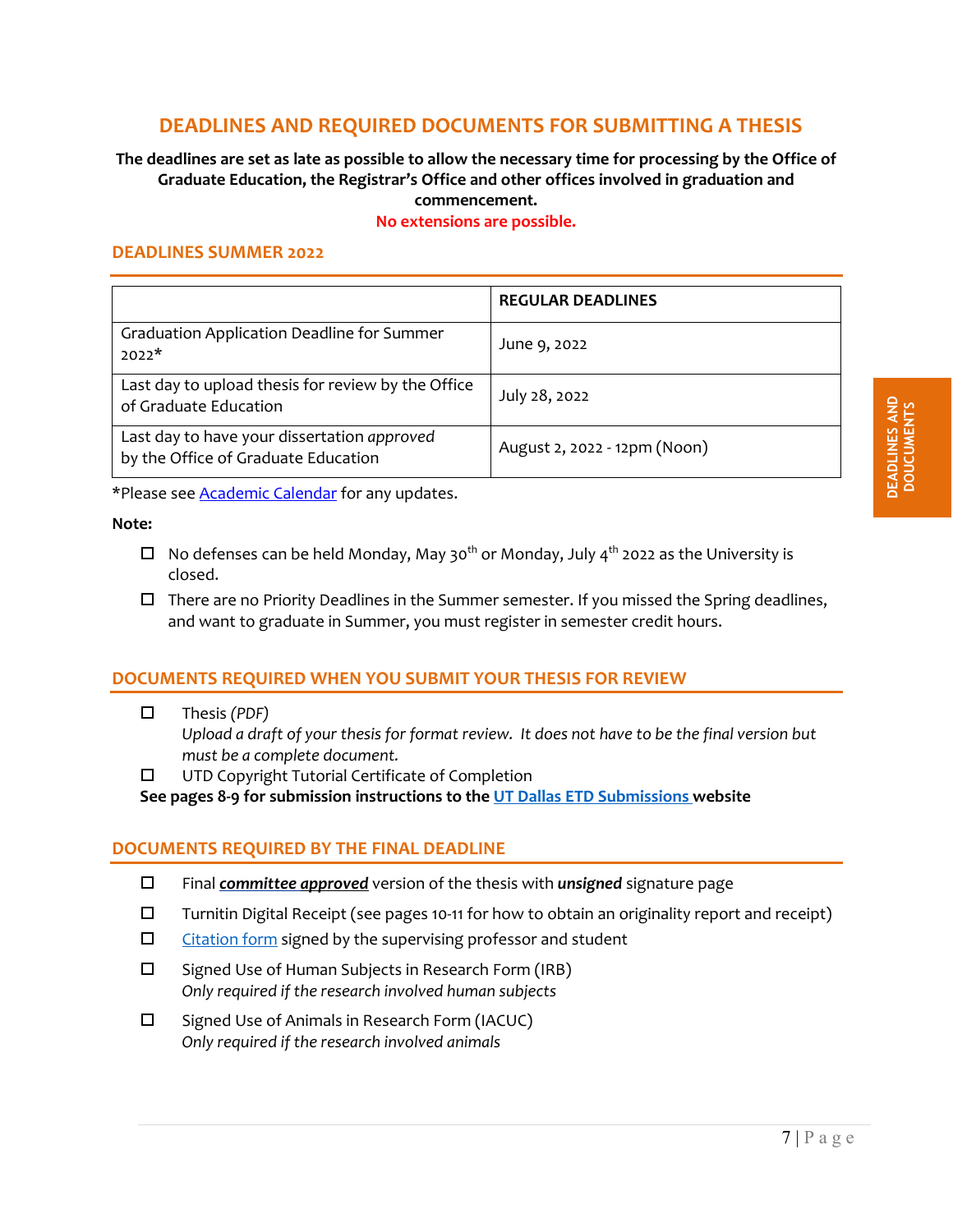## <span id="page-6-4"></span>**DEADLINES AND REQUIRED DOCUMENTS FOR SUBMITTING A THESIS**

#### <span id="page-6-0"></span>**The deadlines are set as late as possible to allow the necessary time for processing by the Office of Graduate Education, the Registrar's Office and other offices involved in graduation and commencement.**

#### **No extensions are possible.**

#### <span id="page-6-1"></span>**DEADLINES SUMMER 2022**

|                                                                                    | <b>REGULAR DEADLINES</b>     |
|------------------------------------------------------------------------------------|------------------------------|
| <b>Graduation Application Deadline for Summer</b><br>$2022*$                       | June 9, 2022                 |
| Last day to upload thesis for review by the Office<br>of Graduate Education        | July 28, 2022                |
| Last day to have your dissertation approved<br>by the Office of Graduate Education | August 2, 2022 - 12pm (Noon) |

\*Please see **Academic Calendar** for any updates.

#### **Note:**

- $\Box$  No defenses can be held Monday, May 30<sup>th</sup> or Monday, July 4<sup>th</sup> 2022 as the University is closed.
- $\Box$  There are no Priority Deadlines in the Summer semester. If you missed the Spring deadlines, and want to graduate in Summer, you must register in semester credit hours.

#### <span id="page-6-2"></span>**DOCUMENTS REQUIRED WHEN YOU SUBMIT YOUR THESIS FOR REVIEW**

Thesis *(PDF)*

*Upload a draft of your thesis for format review. It does not have to be the final version but must be a complete document.*

□ UTD Copyright Tutorial Certificate of Completion

**See pages 8-9 for submission instructions to the [UT Dallas ETD Submissions w](https://utd-etd.tdl.org/)ebsite**

#### <span id="page-6-3"></span>**DOCUMENTS REQUIRED BY THE FINAL DEADLINE**

- Final *committee approved* version of the thesis with *unsigned* signature page
- $\square$  Turnitin Digital Receipt (see pages 10-11 for how to obtain an originality report and receipt)
- $\square$  [Citation form](https://graduate.utdallas.edu/docs/CitationForm.pdf) signed by the supervising professor and student
- $\square$  Signed Use of Human Subjects in Research Form (IRB) *Only required if the research involved human subjects*
- $\square$  Signed Use of Animals in Research Form (IACUC) *Only required if the research involved animals*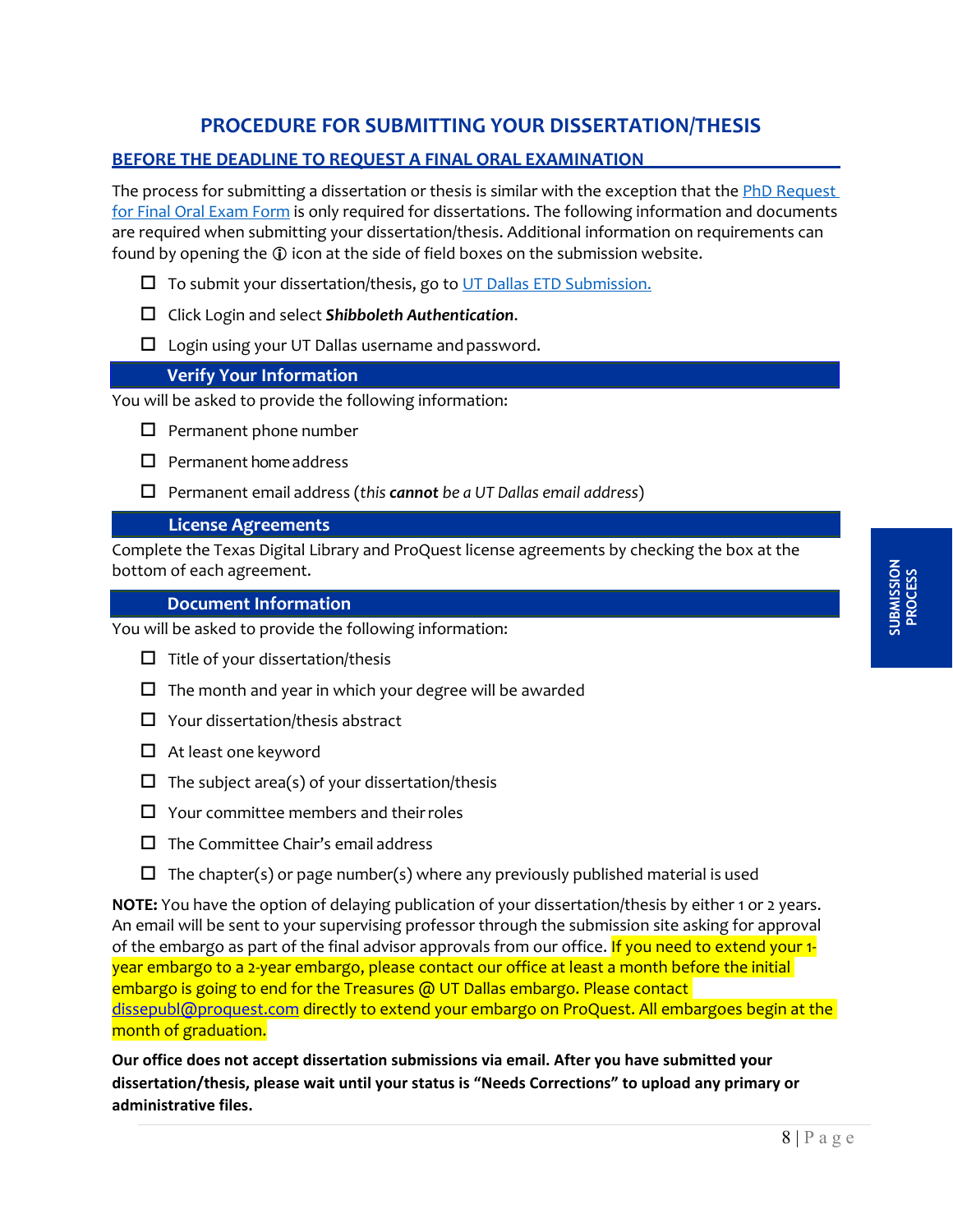## **PROCEDURE FOR SUBMITTING YOUR DISSERTATION/THESIS**

### <span id="page-7-1"></span><span id="page-7-0"></span>**BEFORE THE DEADLINE TO REQUEST A FINAL ORAL EXAMINATION**

The process for submitting a dissertation or thesis is similar with the exception that the [PhD Request](https://graduate.utdallas.edu/docs/PhDReqFinalOral.pdf)  [for Final Oral Exam Form](https://graduate.utdallas.edu/docs/PhDReqFinalOral.pdf) is only required for dissertations. The following information and documents are required when submitting your dissertation/thesis. Additional information on requirements can found by opening the  $\Phi$  icon at the side of field boxes on the submission website.

- $\square$  To submit your dissertation/thesis, go to [UT Dallas ETD Submission.](https://utd-etd.tdl.org/)
- Click Login and select *Shibboleth Authentication*.
- $\square$  Login using your UT Dallas username and password.

#### **Verify Your Information**

You will be asked to provide the following information:

- $\square$  Permanent phone number
- $\Box$  Permanent home address
- Permanent email address (*this cannot be a UT Dallas email address*)

#### **License Agreements**

Complete the Texas Digital Library and ProQuest license agreements by checking the box at the bottom of each agreement.

#### **Document Information**

You will be asked to provide the following information:

- $\Box$  Title of your dissertation/thesis
- $\Box$  The month and year in which your degree will be awarded
- $\Box$  Your dissertation/thesis abstract
- $\Box$  At least one keyword
- $\Box$  The subject area(s) of your dissertation/thesis
- $\Box$  Your committee members and their roles
- $\Box$  The Committee Chair's email address
- $\Box$  The chapter(s) or page number(s) where any previously published material is used

**NOTE:** You have the option of delaying publication of your dissertation/thesis by either 1 or 2 years. An email will be sent to your supervising professor through the submission site asking for approval of the embargo as part of the final advisor approvals from our office. If you need to extend your 1year embargo to a 2-year embargo, please contact our office at least a month before the initial embargo is going to end for the Treasures @ UT Dallas embargo. Please contact [dissepubl@proquest.com](mailto:dissepubl@proquest.com) directly to extend your embargo on ProQuest. All embargoes begin at the month of graduation.

**Our office does not accept dissertation submissions via email. After you have submitted your dissertation/thesis, please wait until your status is "Needs Corrections" to upload any primary or administrative files.**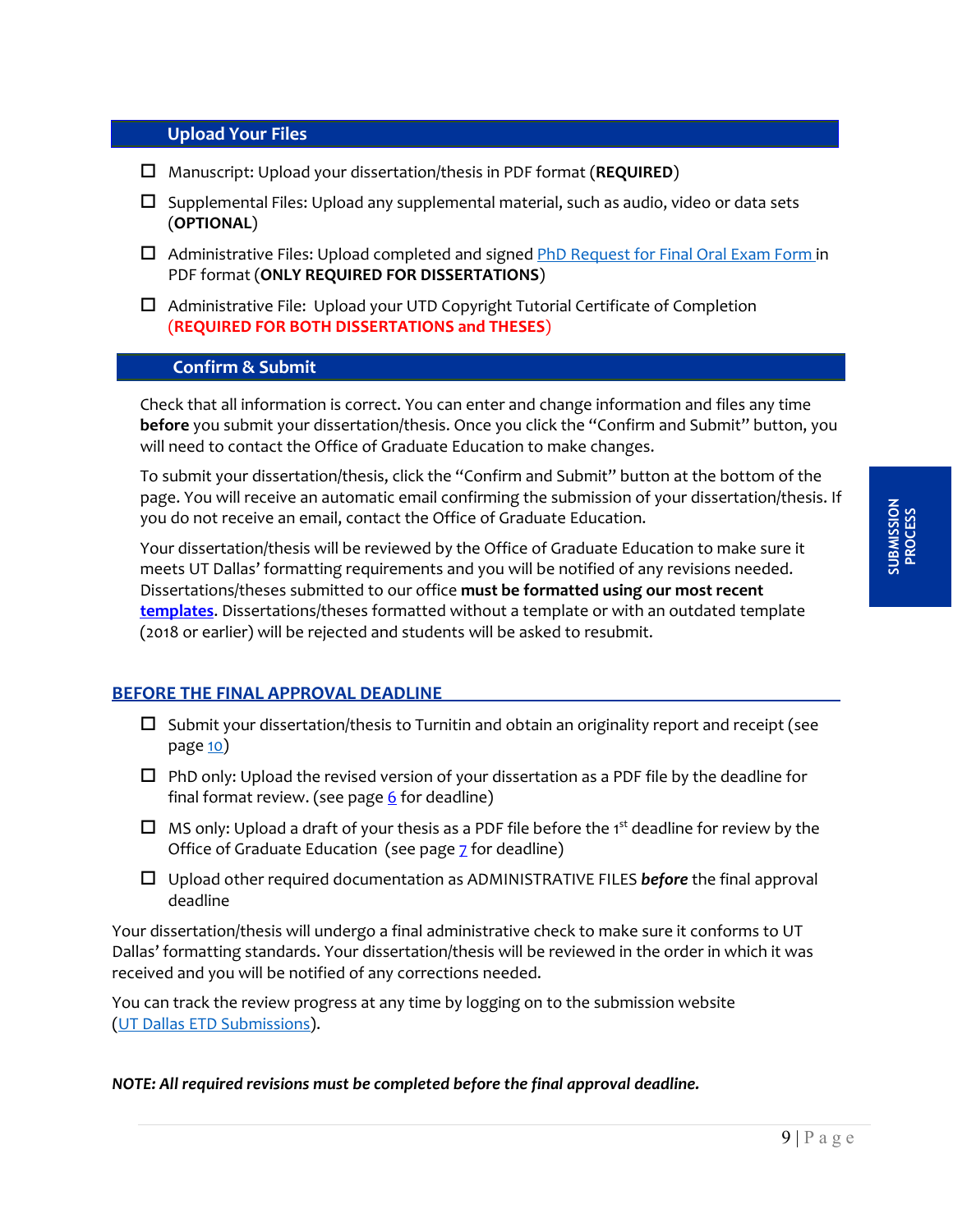#### **Upload Your Files**

- Manuscript: Upload your dissertation/thesis in PDF format (**REQUIRED**)
- $\Box$  Supplemental Files: Upload any supplemental material, such as audio, video or data sets (**OPTIONAL**)
- $\Box$  Administrative Files: Upload completed and signed [PhD Request for Final Oral Exam Form](https://graduate.utdallas.edu/docs/PhDReqFinalOral.pdf) in PDF format (**ONLY REQUIRED FOR DISSERTATIONS**)
- $\Box$  Administrative File: Upload your UTD Copyright Tutorial Certificate of Completion (**REQUIRED FOR BOTH DISSERTATIONS and THESES**)

#### **Confirm & Submit**

Check that all information is correct. You can enter and change information and files any time **before** you submit your dissertation/thesis. Once you click the "Confirm and Submit" button, you will need to contact the Office of Graduate Education to make changes.

To submit your dissertation/thesis, click the "Confirm and Submit" button at the bottom of the page. You will receive an automatic email confirming the submission of your dissertation/thesis. If you do not receive an email, contact the Office of Graduate Education.

Your dissertation/thesis will be reviewed by the Office of Graduate Education to make sure it meets UT Dallas' formatting requirements and you will be notified of any revisions needed. Dissertations/theses submitted to our office **must be formatted using our most recent [templates](https://graduate.utdallas.edu/current_students/dissertation_and_thesis/)**. Dissertations/theses formatted without a template or with an outdated template (2018 or earlier) will be rejected and students will be asked to resubmit.

#### <span id="page-8-0"></span>**BEFORE THE FINAL APPROVAL DEADLINE**

- $\Box$  Submit your dissertation/thesis to Turnitin and obtain an originality report and receipt (see pag[e 10\)](#page-9-3)
- $\Box$  PhD only: Upload the revised version of your dissertation as a PDF file by the deadline for final format review. (see page  $6$  for deadline)
- $\Box$  MS only: Upload a draft of your thesis as a PDF file before the 1st deadline for review by the Office of Graduate Education (see page  $Z$  for deadline)
- Upload other required documentation as ADMINISTRATIVE FILES *before* the final approval deadline

Your dissertation/thesis will undergo a final administrative check to make sure it conforms to UT Dallas' formatting standards. Your dissertation/thesis will be reviewed in the order in which it was received and you will be notified of any corrections needed.

You can track the review progress at any time by logging on to the submission website [\(UT Dallas ETD Submissions\)](https://utd-etd.tdl.org/).

#### *NOTE: All required revisions must be completed before the final approval deadline.*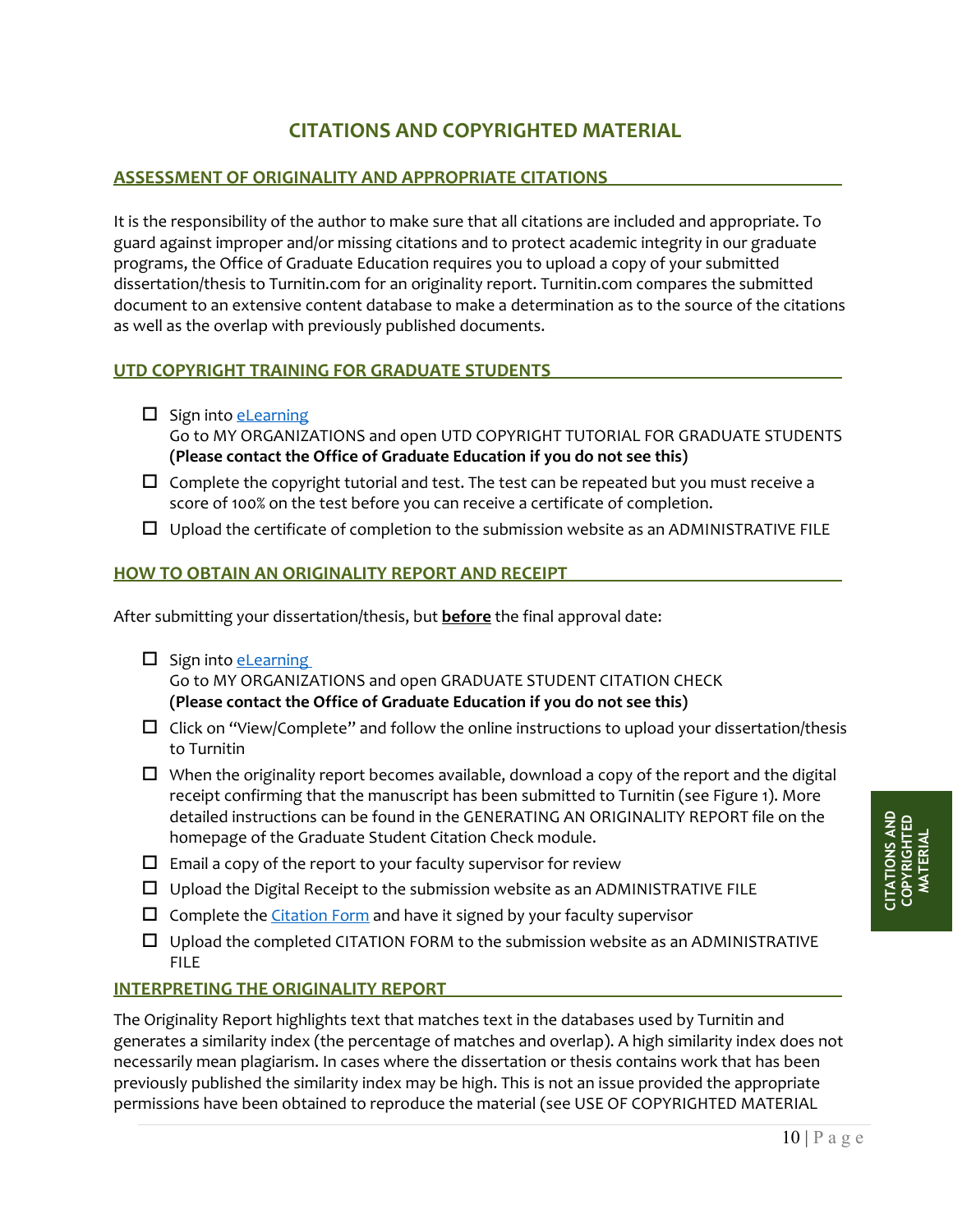## **CITATIONS AND COPYRIGHTED MATERIAL**

#### <span id="page-9-1"></span><span id="page-9-0"></span>**ASSESSMENT OF ORIGINALITY AND APPROPRIATE CITATIONS**

It is the responsibility of the author to make sure that all citations are included and appropriate. To guard against improper and/or missing citations and to protect academic integrity in our graduate programs, the Office of Graduate Education requires you to upload a copy of your submitted dissertation/thesis to Turnitin.com for an originality report. Turnitin.com compares the submitted document to an extensive content database to make a determination as to the source of the citations as well as the overlap with previously published documents.

#### <span id="page-9-2"></span>**UTD COPYRIGHT TRAINING FOR GRADUATE STUDENTS**

- $\square$  Sign into [eLearning](https://elearning.utdallas.edu/webapps/portal/execute/tabs/tabAction?tab_tab_group_id=_1_1) Go to MY ORGANIZATIONS and open UTD COPYRIGHT TUTORIAL FOR GRADUATE STUDENTS **(Please contact the Office of Graduate Education if you do not see this)**
- $\Box$  Complete the copyright tutorial and test. The test can be repeated but you must receive a score of 100% on the test before you can receive a certificate of completion.
- $\Box$  Upload the certificate of completion to the submission website as an ADMINISTRATIVE FILE

#### <span id="page-9-3"></span>**HOW TO OBTAIN AN ORIGINALITY REPORT AND RECEIPT**

After submitting your dissertation/thesis, but **before** the final approval date:

- $\square$  Sign into [eLearning](https://elearning.utdallas.edu/webapps/portal/execute/tabs/tabAction?tab_tab_group_id=_1_1) Go to MY ORGANIZATIONS and open GRADUATE STUDENT CITATION CHECK **(Please contact the Office of Graduate Education if you do not see this)**
- $\Box$  Click on "View/Complete" and follow the online instructions to upload your dissertation/thesis to Turnitin
- $\Box$  When the originality report becomes available, download a copy of the report and the digital receipt confirming that the manuscript has been submitted to Turnitin (see Figure 1). More detailed instructions can be found in the GENERATING AN ORIGINALITY REPORT file on the homepage of the Graduate Student Citation Check module.
- $\square$  Email a copy of the report to your faculty supervisor for review
- $\Box$  Upload the Digital Receipt to the submission website as an ADMINISTRATIVE FILE
- $\square$  Complete the [Citation Form](https://graduate.utdallas.edu/docs/CitationForm.pdf) and have it signed by your faculty supervisor
- $\Box$  Upload the completed CITATION FORM to the submission website as an ADMINISTRATIVE FILE

#### <span id="page-9-4"></span>**INTERPRETING THE ORIGINALITY REPORT**

The Originality Report highlights text that matches text in the databases used by Turnitin and generates a similarity index (the percentage of matches and overlap). A high similarity index does not necessarily mean plagiarism. In cases where the dissertation or thesis contains work that has been previously published the similarity index may be high. This is not an issue provided the appropriate permissions have been obtained to reproduce the material (see USE OF COPYRIGHTED MATERIAL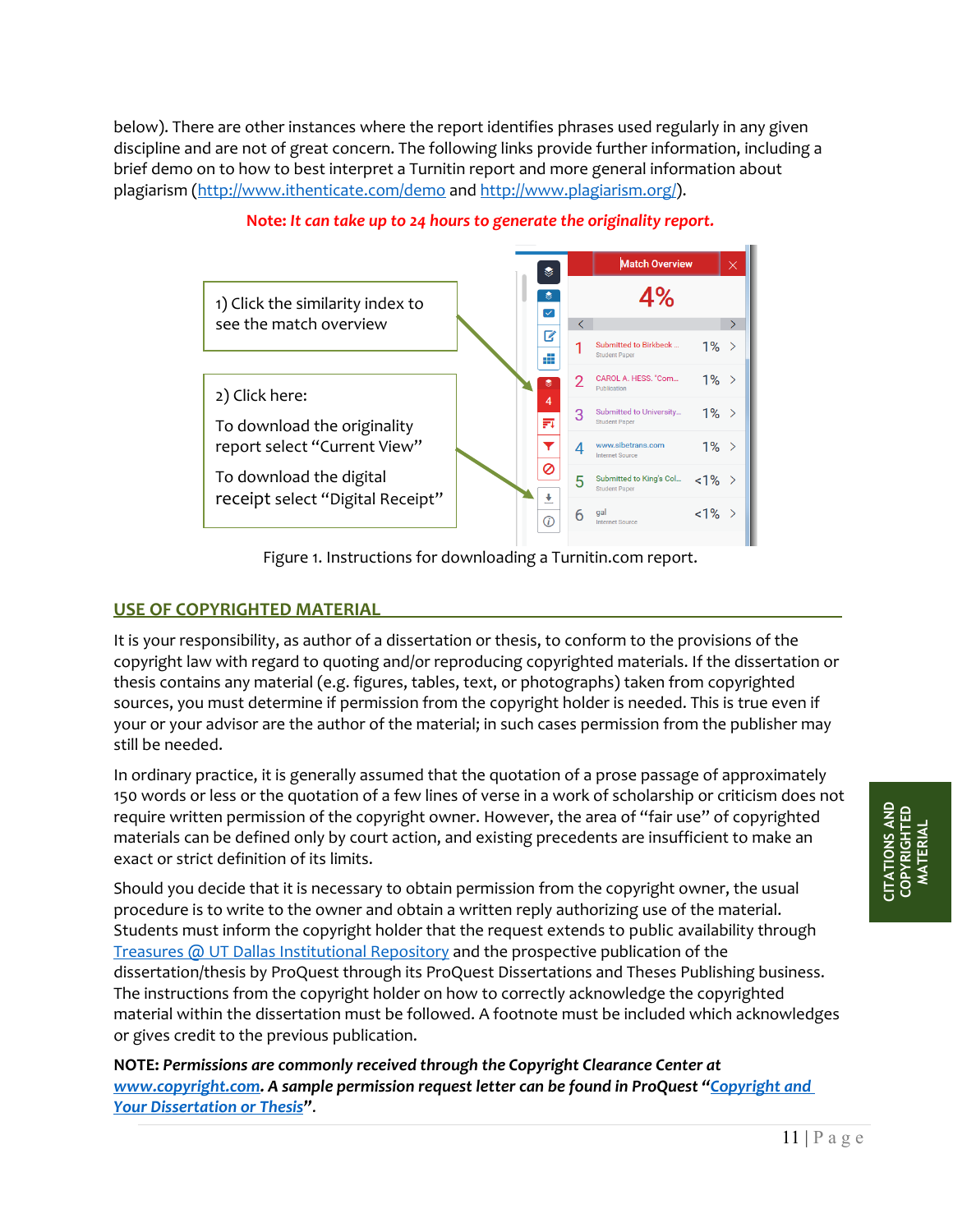below). There are other instances where the report identifies phrases used regularly in any given discipline and are not of great concern. The following links provide further information, including a brief demo on to how to best interpret a Turnitin report and more general information about plagiarism [\(http://www.ithenticate.com/demo](http://www.ithenticate.com/demo) and [http://www.plagiarism.org/\)](http://www.plagiarism.org/).



#### **Note:** *It can take up to 24 hours to generate the originality report.*

Figure 1. Instructions for downloading a Turnitin.com report.

#### <span id="page-10-0"></span>**USE OF COPYRIGHTED MATERIAL**

It is your responsibility, as author of a dissertation or thesis, to conform to the provisions of the copyright law with regard to quoting and/or reproducing copyrighted materials. If the dissertation or thesis contains any material (e.g. figures, tables, text, or photographs) taken from copyrighted sources, you must determine if permission from the copyright holder is needed. This is true even if your or your advisor are the author of the material; in such cases permission from the publisher may still be needed.

In ordinary practice, it is generally assumed that the quotation of a prose passage of approximately 150 words or less or the quotation of a few lines of verse in a work of scholarship or criticism does not require written permission of the copyright owner. However, the area of "fair use" of copyrighted materials can be defined only by court action, and existing precedents are insufficient to make an exact or strict definition of its limits.

Should you decide that it is necessary to obtain permission from the copyright owner, the usual procedure is to write to the owner and obtain a written reply authorizing use of the material. Students must inform the copyright holder that the request extends to public availability through [Treasures @ UT Dallas Institutional](http://libtreasures.utdallas.edu/xmlui/) [Repository](http://libtreasures.utdallas.edu/xmlui/) and the prospective publication of the dissertation/thesis by ProQuest through its ProQuest Dissertations and Theses Publishing business. The instructions from the copyright holder on how to correctly acknowledge the copyrighted material within the dissertation must be followed. A footnote must be included which acknowledges or gives credit to the previous publication.

**NOTE:** *Permissions are commonly received through the Copyright Clearance Center at [www.copyright.com.](http://www.copyright.com/)* A sample permission request letter can be found in ProQuest "Copyright and *[Your Dissertation or Thesis"](http://media2.proquest.com/documents/UMI_CopyrightGuide.pdf)*.